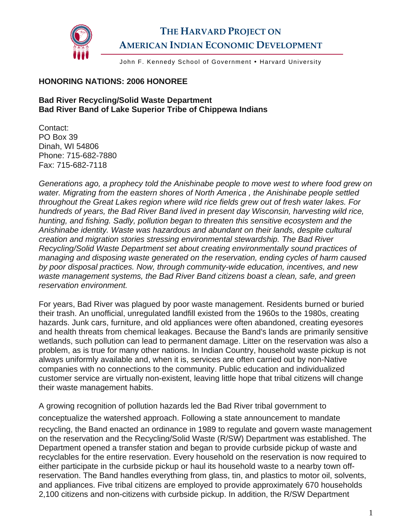

## **THE HARVARD PROJECT ON AMERICAN INDIAN ECONOMIC DEVELOPMENT**

John F. Kennedy School of Government . Harvard University

## **HONORING NATIONS: 2006 HONOREE**

## **Bad River Recycling/Solid Waste Department Bad River Band of Lake Superior Tribe of Chippewa Indians**

Contact: PO Box 39 Dinah, WI 54806 Phone: 715-682-7880 Fax: 715-682-7118

*Generations ago, a prophecy told the Anishinabe people to move west to where food grew on water. Migrating from the eastern shores of North America , the Anishinabe people settled throughout the Great Lakes region where wild rice fields grew out of fresh water lakes. For hundreds of years, the Bad River Band lived in present day Wisconsin, harvesting wild rice, hunting, and fishing. Sadly, pollution began to threaten this sensitive ecosystem and the Anishinabe identity. Waste was hazardous and abundant on their lands, despite cultural creation and migration stories stressing environmental stewardship. The Bad River Recycling/Solid Waste Department set about creating environmentally sound practices of managing and disposing waste generated on the reservation, ending cycles of harm caused by poor disposal practices. Now, through community-wide education, incentives, and new waste management systems, the Bad River Band citizens boast a clean, safe, and green reservation environment.* 

For years, Bad River was plagued by poor waste management. Residents burned or buried their trash. An unofficial, unregulated landfill existed from the 1960s to the 1980s, creating hazards. Junk cars, furniture, and old appliances were often abandoned, creating eyesores and health threats from chemical leakages. Because the Band's lands are primarily sensitive wetlands, such pollution can lead to permanent damage. Litter on the reservation was also a problem, as is true for many other nations. In Indian Country, household waste pickup is not always uniformly available and, when it is, services are often carried out by non-Native companies with no connections to the community. Public education and individualized customer service are virtually non-existent, leaving little hope that tribal citizens will change their waste management habits.

A growing recognition of pollution hazards led the Bad River tribal government to conceptualize the watershed approach. Following a state announcement to mandate recycling, the Band enacted an ordinance in 1989 to regulate and govern waste management on the reservation and the Recycling/Solid Waste (R/SW) Department was established. The Department opened a transfer station and began to provide curbside pickup of waste and recyclables for the entire reservation. Every household on the reservation is now required to either participate in the curbside pickup or haul its household waste to a nearby town offreservation. The Band handles everything from glass, tin, and plastics to motor oil, solvents, and appliances. Five tribal citizens are employed to provide approximately 670 households 2,100 citizens and non-citizens with curbside pickup. In addition, the R/SW Department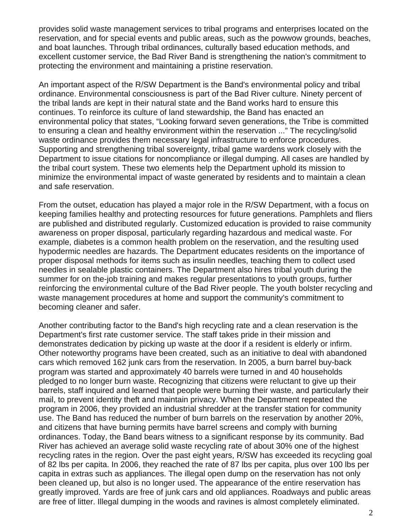provides solid waste management services to tribal programs and enterprises located on the reservation, and for special events and public areas, such as the powwow grounds, beaches, and boat launches. Through tribal ordinances, culturally based education methods, and excellent customer service, the Bad River Band is strengthening the nation's commitment to protecting the environment and maintaining a pristine reservation.

An important aspect of the R/SW Department is the Band's environmental policy and tribal ordinance. Environmental consciousness is part of the Bad River culture. Ninety percent of the tribal lands are kept in their natural state and the Band works hard to ensure this continues. To reinforce its culture of land stewardship, the Band has enacted an environmental policy that states, "Looking forward seven generations, the Tribe is committed to ensuring a clean and healthy environment within the reservation ..." The recycling/solid waste ordinance provides them necessary legal infrastructure to enforce procedures. Supporting and strengthening tribal sovereignty, tribal game wardens work closely with the Department to issue citations for noncompliance or illegal dumping. All cases are handled by the tribal court system. These two elements help the Department uphold its mission to minimize the environmental impact of waste generated by residents and to maintain a clean and safe reservation.

From the outset, education has played a major role in the R/SW Department, with a focus on keeping families healthy and protecting resources for future generations. Pamphlets and fliers are published and distributed regularly. Customized education is provided to raise community awareness on proper disposal, particularly regarding hazardous and medical waste. For example, diabetes is a common health problem on the reservation, and the resulting used hypodermic needles are hazards. The Department educates residents on the importance of proper disposal methods for items such as insulin needles, teaching them to collect used needles in sealable plastic containers. The Department also hires tribal youth during the summer for on the-job training and makes regular presentations to youth groups, further reinforcing the environmental culture of the Bad River people. The youth bolster recycling and waste management procedures at home and support the community's commitment to becoming cleaner and safer.

Another contributing factor to the Band's high recycling rate and a clean reservation is the Department's first rate customer service. The staff takes pride in their mission and demonstrates dedication by picking up waste at the door if a resident is elderly or infirm. Other noteworthy programs have been created, such as an initiative to deal with abandoned cars which removed 162 junk cars from the reservation. In 2005, a burn barrel buy-back program was started and approximately 40 barrels were turned in and 40 households pledged to no longer burn waste. Recognizing that citizens were reluctant to give up their barrels, staff inquired and learned that people were burning their waste, and particularly their mail, to prevent identity theft and maintain privacy. When the Department repeated the program in 2006, they provided an industrial shredder at the transfer station for community use. The Band has reduced the number of burn barrels on the reservation by another 20%, and citizens that have burning permits have barrel screens and comply with burning ordinances. Today, the Band bears witness to a significant response by its community. Bad River has achieved an average solid waste recycling rate of about 30% one of the highest recycling rates in the region. Over the past eight years, R/SW has exceeded its recycling goal of 82 lbs per capita. In 2006, they reached the rate of 87 lbs per capita, plus over 100 lbs per capita in extras such as appliances. The illegal open dump on the reservation has not only been cleaned up, but also is no longer used. The appearance of the entire reservation has greatly improved. Yards are free of junk cars and old appliances. Roadways and public areas are free of litter. Illegal dumping in the woods and ravines is almost completely eliminated.